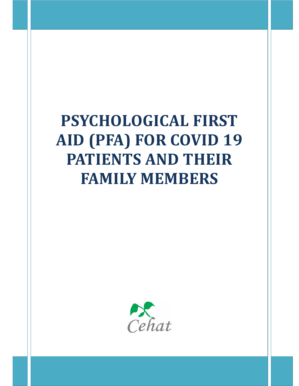# **PSYCHOLOGICAL FIRST AID (PFA) FOR COVID 19 PATIENTS AND THEIR FAMILY MEMBERS**

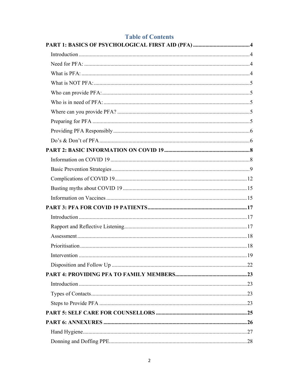# **Table of Contents**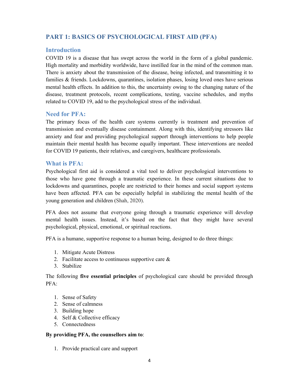# **PART 1: BASICS OF PSYCHOLOGICAL FIRST AID (PFA)**

#### **Introduction**

COVID 19 is a disease that has swept across the world in the form of a global pandemic. High mortality and morbidity worldwide, have instilled fear in the mind of the common man. There is anxiety about the transmission of the disease, being infected, and transmitting it to families & friends. Lockdowns, quarantines, isolation phases, losing loved ones have serious mental health effects. In addition to this, the uncertainty owing to the changing nature of the disease, treatment protocols, recent complications, testing, vaccine schedules, and myths related to COVID 19, add to the psychological stress of the individual.

## **Need for PFA:**

The primary focus of the health care systems currently is treatment and prevention of transmission and eventually disease containment. Along with this, identifying stressors like anxiety and fear and providing psychological support through interventions to help people maintain their mental health has become equally important. These interventions are needed for COVID 19 patients, their relatives, and caregivers, healthcare professionals.

## **What is PFA:**

Psychological first aid is considered a vital tool to deliver psychological interventions to those who have gone through a traumatic experience. In these current situations due to lockdowns and quarantines, people are restricted to their homes and social support systems have been affected. PFA can be especially helpful in stabilizing the mental health of the young generation and children (Shah, 2020).

PFA does not assume that everyone going through a traumatic experience will develop mental health issues. Instead, it's based on the fact that they might have several psychological, physical, emotional, or spiritual reactions.

PFA is a humane, supportive response to a human being, designed to do three things:

- 1. Mitigate Acute Distress
- 2. Facilitate access to continuous supportive care  $\&$
- 3. Stabilize

The following **five essential principles** of psychological care should be provided through PFA:

- 1. Sense of Safety
- 2. Sense of calmness
- 3. Building hope
- 4. Self & Collective efficacy
- 5. Connectedness

#### **By providing PFA, the counsellors aim to**:

1. Provide practical care and support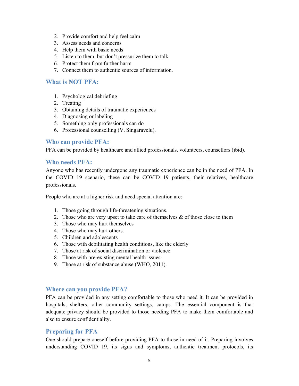- 2. Provide comfort and help feel calm
- 3. Assess needs and concerns
- 4. Help them with basic needs
- 5. Listen to them, but don't pressurize them to talk
- 6. Protect them from further harm
- 7. Connect them to authentic sources of information.

#### **What is NOT PFA:**

- 1. Psychological debriefing
- 2. Treating
- 3. Obtaining details of traumatic experiences
- 4. Diagnosing or labeling
- 5. Something only professionals can do
- 6. Professional counselling (V. Singaravelu).

#### **Who can provide PFA:**

PFA can be provided by healthcare and allied professionals, volunteers, counsellors (ibid).

#### **Who needs PFA:**

Anyone who has recently undergone any traumatic experience can be in the need of PFA. In the COVID 19 scenario, these can be COVID 19 patients, their relatives, healthcare professionals.

People who are at a higher risk and need special attention are:

- 1. Those going through life-threatening situations.
- 2. Those who are very upset to take care of themselves  $\&$  of those close to them
- 3. Those who may hurt themselves
- 4. Those who may hurt others.
- 5. Children and adolescents
- 6. Those with debilitating health conditions, like the elderly
- 7. Those at risk of social discrimination or violence
- 8. Those with pre-existing mental health issues.
- 9. Those at risk of substance abuse (WHO, 2011).

#### **Where can you provide PFA?**

PFA can be provided in any setting comfortable to those who need it. It can be provided in hospitals, shelters, other community settings, camps. The essential component is that adequate privacy should be provided to those needing PFA to make them comfortable and also to ensure confidentiality.

#### **Preparing for PFA**

One should prepare oneself before providing PFA to those in need of it. Preparing involves understanding COVID 19, its signs and symptoms, authentic treatment protocols, its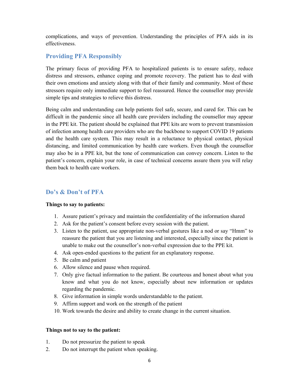complications, and ways of prevention. Understanding the principles of PFA aids in its effectiveness.

# **Providing PFA Responsibly**

The primary focus of providing PFA to hospitalized patients is to ensure safety, reduce distress and stressors, enhance coping and promote recovery. The patient has to deal with their own emotions and anxiety along with that of their family and community. Most of these stressors require only immediate support to feel reassured. Hence the counsellor may provide simple tips and strategies to relieve this distress.

Being calm and understanding can help patients feel safe, secure, and cared for. This can be difficult in the pandemic since all health care providers including the counsellor may appear in the PPE kit. The patient should be explained that PPE kits are worn to prevent transmission of infection among health care providers who are the backbone to support COVID 19 patients and the health care system. This may result in a reluctance to physical contact, physical distancing, and limited communication by health care workers. Even though the counsellor may also be in a PPE kit, but the tone of communication can convey concern. Listen to the patient's concern, explain your role, in case of technical concerns assure them you will relay them back to health care workers.

# **Do's & Don't of PFA**

#### **Things to say to patients:**

- 1. Assure patient's privacy and maintain the confidentiality of the information shared
- 2. Ask for the patient's consent before every session with the patient.
- 3. Listen to the patient, use appropriate non-verbal gestures like a nod or say "Hmm" to reassure the patient that you are listening and interested, especially since the patient is unable to make out the counsellor's non-verbal expression due to the PPE kit.
- 4. Ask open-ended questions to the patient for an explanatory response.
- 5. Be calm and patient
- 6. Allow silence and pause when required.
- 7. Only give factual information to the patient. Be courteous and honest about what you know and what you do not know, especially about new information or updates regarding the pandemic.
- 8. Give information in simple words understandable to the patient.
- 9. Affirm support and work on the strength of the patient
- 10. Work towards the desire and ability to create change in the current situation.

#### **Things not to say to the patient:**

- 1. Do not pressurize the patient to speak
- 2. Do not interrupt the patient when speaking.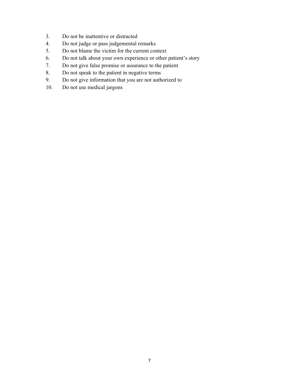- 3. Do not be inattentive or distracted
- 4. Do not judge or pass judgemental remarks
- 5. Do not blame the victim for the current context
- 6. Do not talk about your own experience or other patient's story
- 7. Do not give false promise or assurance to the patient
- 8. Do not speak to the patient in negative terms
- 9. Do not give information that you are not authorized to
- 10. Do not use medical jargons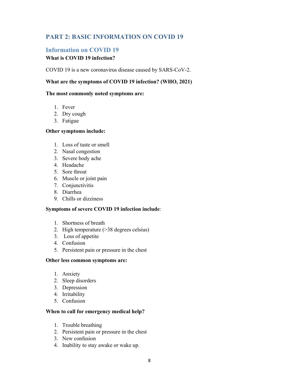# **PART 2: BASIC INFORMATION ON COVID 19**

### **Information on COVID 19**

#### **What is COVID 19 infection?**

COVID 19 is a new coronavirus disease caused by SARS-CoV-2.

#### **What are the symptoms of COVID 19 infection? (WHO, 2021)**

#### **The most commonly noted symptoms are:**

- 1. Fever
- 2. Dry cough
- 3. Fatigue

#### **Other symptoms include:**

- 1. Loss of taste or smell
- 2. Nasal congestion
- 3. Severe body ache
- 4. Headache
- 5. Sore throat
- 6. Muscle or joint pain
- 7. Conjunctivitis
- 8. Diarrhea
- 9. Chills or dizziness

#### **Symptoms of severe COVID 19 infection include**:

- 1. Shortness of breath
- 2. High temperature (>38 degrees celsius)
- 3. Loss of appetite
- 4. Confusion
- 5. Persistent pain or pressure in the chest

#### **Other less common symptoms are:**

- 1. Anxiety
- 2. Sleep disorders
- 3. Depression
- 4. Irritability
- 5. Confusion

#### **When to call for emergency medical help?**

- 1. Trouble breathing
- 2. Persistent pain or pressure in the chest
- 3. New confusion
- 4. Inability to stay awake or wake up.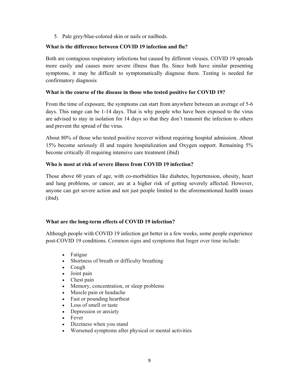5. Pale grey/blue-colored skin or nails or nailbeds.

#### **What is the difference between COVID 19 infection and flu?**

Both are contagious respiratory infections but caused by different viruses. COVID 19 spreads more easily and causes more severe illness than flu. Since both have similar presenting symptoms, it may be difficult to symptomatically diagnose them. Testing is needed for confirmatory diagnosis

#### **What is the course of the disease in those who tested positive for COVID 19?**

From the time of exposure, the symptoms can start from anywhere between an average of 5-6 days. This range can be 1-14 days. That is why people who have been exposed to the virus are advised to stay in isolation for 14 days so that they don't transmit the infection to others and prevent the spread of the virus.

About 80% of those who tested positive recover without requiring hospital admission. About 15% become seriously ill and require hospitalization and Oxygen support. Remaining 5% become critically ill requiring intensive care treatment (ibid)

#### **Who is most at risk of severe illness from COVID 19 infection?**

Those above 60 years of age, with co-morbidities like diabetes, hypertension, obesity, heart and lung problems, or cancer, are at a higher risk of getting severely affected. However, anyone can get severe action and not just people limited to the aforementioned health issues (ibid).

#### **What are the long-term effects of COVID 19 infection?**

Although people with COVID 19 infection get better in a few weeks, some people experience post-COVID 19 conditions. Common signs and symptoms that linger over time include:

- Fatigue
- Shortness of breath or difficulty breathing
- Cough
- Joint pain
- Chest pain
- Memory, concentration, or sleep problems
- Muscle pain or headache
- Fast or pounding heartbeat
- Loss of smell or taste
- Depression or anxiety
- Fever
- Dizziness when you stand
- Worsened symptoms after physical or mental activities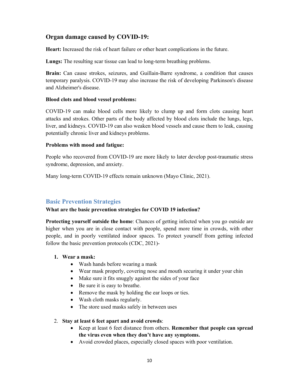# **Organ damage caused by COVID-19:**

**Heart:** Increased the risk of heart failure or other heart complications in the future.

**Lungs:** The resulting scar tissue can lead to long-term breathing problems.

**Brain:** Can cause strokes, seizures, and Guillain-Barre syndrome, a condition that causes temporary paralysis. COVID-19 may also increase the risk of developing Parkinson's disease and Alzheimer's disease.

#### **Blood clots and blood vessel problems:**

COVID-19 can make blood cells more likely to clump up and form clots causing heart attacks and strokes. Other parts of the body affected by blood clots include the lungs, legs, liver, and kidneys. COVID-19 can also weaken blood vessels and cause them to leak, causing potentially chronic liver and kidneys problems.

#### **Problems with mood and fatigue:**

People who recovered from COVID-19 are more likely to later develop post-traumatic stress syndrome, depression, and anxiety.

Many long-term COVID-19 effects remain unknown (Mayo Clinic, 2021).

# **Basic Prevention Strategies**

#### **What are the basic prevention strategies for COVID 19 infection?**

**Protecting yourself outside the home**: Chances of getting infected when you go outside are higher when you are in close contact with people, spend more time in crowds, with other people, and in poorly ventilated indoor spaces. To protect yourself from getting infected follow the basic prevention protocols (CDC, 2021)-

#### **1. Wear a mask:**

- Wash hands before wearing a mask
- Wear mask properly, covering nose and mouth securing it under your chin
- Make sure it fits snuggly against the sides of your face
- Be sure it is easy to breathe.
- Remove the mask by holding the ear loops or ties.
- Wash cloth masks regularly.
- The store used masks safely in between uses

#### 2. **Stay at least 6 feet apart and avoid crowds**:

- Keep at least 6 feet distance from others. **Remember that people can spread the virus even when they don't have any symptoms.**
- Avoid crowded places, especially closed spaces with poor ventilation.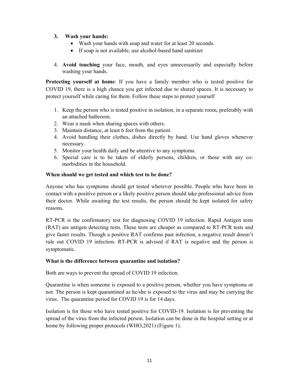#### **3. Wash your hands:**

- Wash your hands with soap and water for at least 20 seconds.
- If soap is not available, use alcohol-based hand sanitizer
- 4. **Avoid touching** your face, mouth, and eyes unnecessarily and especially before washing your hands.

**Protecting yourself at home**: If you have a family member who is tested positive for COVID 19, there is a high chance you get infected due to shared spaces. It is necessary to protect yourself while caring for them. Follow these steps to protect yourself

- 1. Keep the person who is tested positive in isolation, in a separate room, preferably with an attached bathroom.
- 2. Wear a mask when sharing spaces with others.
- 3. Maintain distance, at least 6 feet from the patient.
- 4. Avoid handling their clothes, dishes directly by hand. Use hand gloves whenever necessary.
- 5. Monitor your health daily and be attentive to any symptoms.
- 6. Special care is to be taken of elderly persons, children, or those with any comorbidities in the household.

#### **When should we get tested and which test to be done?**

Anyone who has symptoms should get tested wherever possible. People who have been in contact with a positive person or a likely positive person should take professional advice from their doctor. While awaiting the test results, the person should be kept isolated for safety reasons.

RT-PCR is the confirmatory test for diagnosing COVID 19 infection. Rapid Antigen tests (RAT) are antigen detecting tests. These tests are cheaper as compared to RT-PCR tests and give faster results. Though a positive RAT confirms past infection, a negative result doesn't rule out COVID 19 infection. RT-PCR is advised if RAT is negative and the person is symptomatic.

#### **What is the difference between quarantine and isolation?**

Both are ways to prevent the spread of COVID 19 infection.

Quarantine is when someone is exposed to a positive person, whether you have symptoms or not. The person is kept quarantined as he/she is exposed to the virus and may be carrying the virus. The quarantine period for COVID 19 is for 14 days.

Isolation is for those who have tested positive for COVID-19. Isolation is for preventing the spread of the virus from the infected person. Isolation can be done in the hospital setting or at home by following proper protocols (WHO,2021) (Figure 1).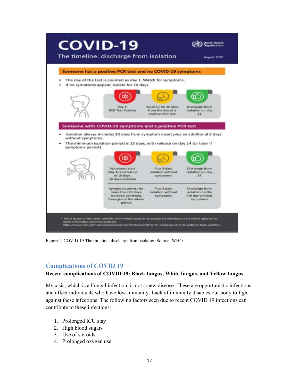

Figure 1: COVID 19 The timeline: discharge from isolation Source: WHO

# **Complications of COVID 19**

#### **Recent complications of COVID 19: Black fungus, White fungus, and Yellow fungus**

Mycosis, which is a Fungal infection, is not a new disease. These are opportunistic infections and affect individuals who have low immunity. Lack of immunity disables our body to fight against these infections. The following factors seen due to recent COVID 19 infections can contribute to these infections:

- 1. Prolonged ICU stay
- 2. High blood sugars
- 3. Use of steroids
- 4. Prolonged oxygen use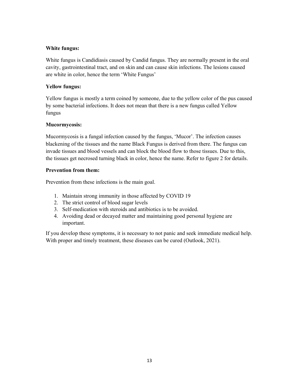#### **White fungus:**

White fungus is Candidiasis caused by Candid fungus. They are normally present in the oral cavity, gastrointestinal tract, and on skin and can cause skin infections. The lesions caused are white in color, hence the term 'White Fungus'

#### **Yellow fungus:**

Yellow fungus is mostly a term coined by someone, due to the yellow color of the pus caused by some bacterial infections. It does not mean that there is a new fungus called Yellow fungus

#### **Mucormycosis:**

Mucormycosis is a fungal infection caused by the fungus, 'Mucor'. The infection causes blackening of the tissues and the name Black Fungus is derived from there. The fungus can invade tissues and blood vessels and can block the blood flow to those tissues. Due to this, the tissues get necrosed turning black in color, hence the name. Refer to figure 2 for details.

#### **Prevention from them:**

Prevention from these infections is the main goal.

- 1. Maintain strong immunity in those affected by COVID 19
- 2. The strict control of blood sugar levels
- 3. Self-medication with steroids and antibiotics is to be avoided.
- 4. Avoiding dead or decayed matter and maintaining good personal hygiene are important.

If you develop these symptoms, it is necessary to not panic and seek immediate medical help. With proper and timely treatment, these diseases can be cured (Outlook, 2021).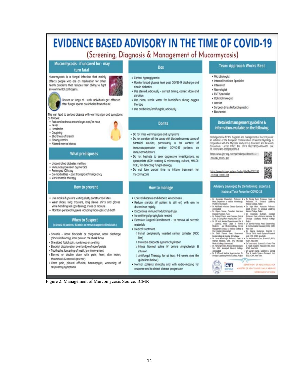# EVIDENCE BASED ADVISORY IN THE TIME OF COVID-19

# (Screening, Diagnosis & Management of Mucormycosis)

Mucormycosis - if uncared for - may turn fatal

Mucormycosis is a fungal infection that mainly affects people who are on medication for ather health problems that reduces their ability to fight environmental pathogens.

Sinuses or lungs of such individuals get affected after fungal spores are inhaled from the air.

This can lead to serious disease with warning sign and symptoms as follows

- · Pain and redness around eyes and/or nose
- · Fever · Headache
- · Coughing
- · Shortness of breath
- · Bloody vomits
- · Altered mental status

#### **What predisposes**

- · Uncontrolled diabetes mellitus
- · Immunosuppression by steroids
- · Prolonged ICU stay
- · Co-morbidities post transplant/malignancy · Voriconazole therapy
- 

#### How to prevent

- . Use masks if you are visiting dusty construction sites
- . Wear shoes, long trousers, long sleeve shirts and gloves while handling soil (gardening), moss or manure
- · Maintoin personal hygiene including thorough scrub bath

#### When to Suspect (in COVID-19 patients, diabetics or immunosuppressed indiviuals )

- · Sinusitis nasal blockade or congestion, nasal discharge (blackish/bloody), local pain on the cheek bone
- · One sided facial pain, numbness or swelling
- · Blackish discoloration over bridge of nose/polate
- · Toothache, loosening of teeth, jaw involvement
- . Blurred or double vision with pain; fever, skin lesion; thrombosis & necrosis (eschar)
- · Chest pain, pleural effusion, haemoptysis, worsening of respiratory symptoms

#### Dos

- · Control hyperglycemia
- . Monitor blood glucose level post COVID-19 discharge and also in diabetics
- . Use steroid judiciously correct timing, correct dose and duration
- . Use clean, sterile water for humidifiers during oxygen therapu
- · Use antibiotics/antifungals judiciously

#### Don'ts

- . Do not miss warning signs and sumptoms
- . Do not consider all the cases with blocked nose as cases of bacterial sinusitis, particularly in the context of immunosuppression and/or COVID-19 patients on immunomodulators
- . Do not hesitate to seek aggressive investigations, as appropriate (KOH staining & microscopy, culture, MALDI-TOF), for detecting fungal etiology
- . Do not lose crucial time to initiate treatment for mucormucosis

#### **How to manage**

- · Control diabetes and diabetic ketoacidosis
- . Reduce steroids (if patient is still on) with aim to discontinue rapidly
- · Discontinue immunomodulating drugs
- · No antifungal prophylaxis needed
- · Extensive Surgical Debridement to remove all necrotic moteriols
- · Medical treatment
- o Install peripherally inserted central catheter (PICC line)
- o Maintain adequate systemic hydration
- o Infuse Normal saline IV before Amphotericin B infusion
- o Antifungal Therapy, for at least 4-6 weeks (see the quidelines below )
- . Monitor patients clinically and with radio-imaging for response and to detect disease progression

#### **Team Approach Works Best**

- · Microbiologist
- · Internal Medicine Specialist
- · Intensivist
- · Neurologist
- · ENT Specialist · Cohthalmologist
- 
- · Dentist
- · Surgeon (maxillofacial/plastic)
- · Biochemist

#### Detailed management guideline & information available on the following

Global puideline for the diagnosis and management of mucormycosis: an initiative of the European Confederation of Medical Mycology in Consortium. Lancet Infect Dis. 2019 Dec19(12):e405-e421, doi:<br>10.1016/51473-3099(19)30312-3.

https://www.imr.org.in/temp/Indian/Medites1533311-9965147 110051 odf

https://www.jimr.org.in/temp/Indian@fedRes1392195 -397834.110303.pdf

#### Advisory developed by the following experts & National Task Force for COVID-19

| + Dr. Anunaldie Chaknabard, Professor & . Dr. Parkaj Buch, Professor, Dept. of<br>Head, Department of Medical Microbiology.<br>Pediatrics, Pt. Direbyal lipadhyay<br>Medical College, Ralkot<br><b>PGMER, Chandquin</b> |
|-------------------------------------------------------------------------------------------------------------------------------------------------------------------------------------------------------------------------|
| Dr. Sajal Mozil, Associate Professor,<br>. Dr. Atd Patel, Infectious Deasant Specialist. .<br>Alymphabad<br>Dept. of ENT. Pt. Dindayal Upadryay                                                                         |
| Medical College, Raiket<br>+ Dr. Rajeny Soman, Consultant Intectious                                                                                                                                                    |
| Disease Physician, Pune<br>Dr. Dearmala Budfwark, Assistant                                                                                                                                                             |
| . Dr. Pokadi Shacei, Vice Charman, Criscal<br>Professor, Dept. of internal Medicine, Pt.<br>Distayal Upachusy Medical College.<br>Care, Sir Ganga Ram Hospital, New Delhi                                               |
| . Dr. 2P Modi. Medical Superintendent, Dr. K.<br>Rakot                                                                                                                                                                  |
| J Uparhay, Head, Dept. of Internal<br>Dr. Samkar Panda, Head, Epidemislopy<br>٠<br>4 Communicable Diseases (ECO), ICMR.<br>Wedicine and Multi-disciplinary Christal                                                     |
| Management Group, BJ Medical College &<br><b>New Dathi</b>                                                                                                                                                              |
| Cvi Houstal, Ahmedabad<br>Dr. Agarra Mukhelpe, Scientist E.                                                                                                                                                             |
| Clinical Trial & Health Systems Henearch<br>. Dr. Gilsh Farmar, Dean, Government                                                                                                                                        |
| Dantal College & Hospital, Ahmedahad<br>Use FCD ICMR New Dalks                                                                                                                                                          |
| · Dr. Janak Khambolja, Professor, Dept. of<br>· Dr. Madhuchanda Das, Scientist D, ECD,<br>Internal Medicine, Snt. NHL Municipal<br><b>CMR, New Delti</b>                                                                |
| Medical College, Ahmedebad<br>. Dr Tany Anand, Sciented D. Clinical Trial                                                                                                                                               |
| . Dr. Henang Furcht, Medcal Microbiologist,<br>& Health Systems Research LINE, ECO.<br>Smt. NHL Municipal Medical College.<br><b>CMR, New Delti</b>                                                                     |
| - Alymetahad<br>· Dr Gunlan Kuman, Scientist C. Clinical                                                                                                                                                                |
| Trial & Health Systems Research Unit.<br>+ Dr. R S Trivedi, Madical Superintendent, Pt.<br>Dindayal Upadhsiy Medical College, Rajket<br>ECD. ICMR. New Delhi.                                                           |
|                                                                                                                                                                                                                         |
|                                                                                                                                                                                                                         |
| <b>INTICE OF WEALTH ATTENDED</b>                                                                                                                                                                                        |
| OF HELLTH AND FAMILY WELFARE                                                                                                                                                                                            |
|                                                                                                                                                                                                                         |
| <b>GOVERNMENT-OF-INDIA</b>                                                                                                                                                                                              |

Figure 2: Management of Murcomycosis Source: ICMR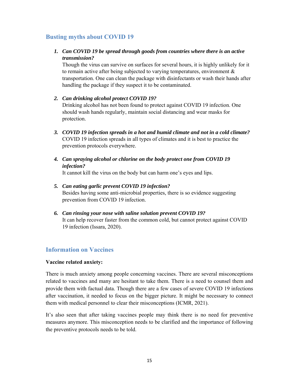# **Busting myths about COVID 19**

#### *1. Can COVID 19 be spread through goods from countries where there is an active transmission?*

Though the virus can survive on surfaces for several hours, it is highly unlikely for it to remain active after being subjected to varying temperatures, environment & transportation. One can clean the package with disinfectants or wash their hands after handling the package if they suspect it to be contaminated.

#### *2. Can drinking alcohol protect COVID 19?*

Drinking alcohol has not been found to protect against COVID 19 infection. One should wash hands regularly, maintain social distancing and wear masks for protection.

- *3. COVID 19 infection spreads in a hot and humid climate and not in a cold climate?*  COVID 19 infection spreads in all types of climates and it is best to practice the prevention protocols everywhere.
- *4. Can spraying alcohol or chlorine on the body protect one from COVID 19 infection?*

It cannot kill the virus on the body but can harm one's eyes and lips.

#### *5. Can eating garlic prevent COVID 19 infection?*  Besides having some anti-microbial properties, there is so evidence suggesting prevention from COVID 19 infection.

*6. Can rinsing your nose with saline solution prevent COVID 19?*  It can help recover faster from the common cold, but cannot protect against COVID 19 infection (Issara, 2020).

# **Information on Vaccines**

#### **Vaccine related anxiety:**

There is much anxiety among people concerning vaccines. There are several misconceptions related to vaccines and many are hesitant to take them. There is a need to counsel them and provide them with factual data. Though there are a few cases of severe COVID 19 infections after vaccination, it needed to focus on the bigger picture. It might be necessary to connect them with medical personnel to clear their misconceptions (ICMR, 2021).

It's also seen that after taking vaccines people may think there is no need for preventive measures anymore. This misconception needs to be clarified and the importance of following the preventive protocols needs to be told.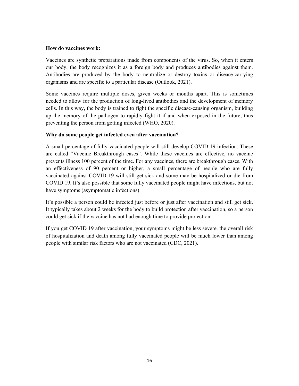#### **How do vaccines work:**

Vaccines are synthetic preparations made from components of the virus. So, when it enters our body, the body recognizes it as a foreign body and produces antibodies against them. Antibodies are produced by the body to neutralize or destroy toxins or disease-carrying organisms and are specific to a particular disease (Outlook, 2021).

Some vaccines require multiple doses, given weeks or months apart. This is sometimes needed to allow for the production of long-lived antibodies and the development of memory cells. In this way, the body is trained to fight the specific disease-causing organism, building up the memory of the pathogen to rapidly fight it if and when exposed in the future, thus preventing the person from getting infected (WHO, 2020).

#### **Why do some people get infected even after vaccination?**

A small percentage of fully vaccinated people will still develop COVID 19 infection. These are called "Vaccine Breakthrough cases". While these vaccines are effective, no vaccine prevents illness 100 percent of the time. For any vaccines, there are breakthrough cases. With an effectiveness of 90 percent or higher, a small percentage of people who are fully vaccinated against COVID 19 will still get sick and some may be hospitalized or die from COVID 19. It's also possible that some fully vaccinated people might have infections, but not have symptoms (asymptomatic infections).

It's possible a person could be infected just before or just after vaccination and still get sick. It typically takes about 2 weeks for the body to build protection after vaccination, so a person could get sick if the vaccine has not had enough time to provide protection.

If you get COVID 19 after vaccination, your symptoms might be less severe. the overall risk of hospitalization and death among fully vaccinated people will be much lower than among people with similar risk factors who are not vaccinated (CDC, 2021).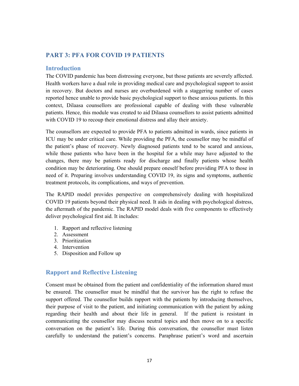# **PART 3: PFA FOR COVID 19 PATIENTS**

#### **Introduction**

The COVID pandemic has been distressing everyone, but those patients are severely affected. Health workers have a dual role in providing medical care and psychological support to assist in recovery. But doctors and nurses are overburdened with a staggering number of cases reported hence unable to provide basic psychological support to these anxious patients. In this context, Dilaasa counsellors are professional capable of dealing with these vulnerable patients. Hence, this module was created to aid Dilaasa counsellors to assist patients admitted with COVID 19 to recoup their emotional distress and allay their anxiety.

The counsellors are expected to provide PFA to patients admitted in wards, since patients in ICU may be under critical care. While providing the PFA, the counsellor may be mindful of the patient's phase of recovery. Newly diagnosed patients tend to be scared and anxious, while those patients who have been in the hospital for a while may have adjusted to the changes, there may be patients ready for discharge and finally patients whose health condition may be deteriorating. One should prepare oneself before providing PFA to those in need of it. Preparing involves understanding COVID 19, its signs and symptoms, authentic treatment protocols, its complications, and ways of prevention.

The RAPID model provides perspective on comprehensively dealing with hospitalized COVID 19 patients beyond their physical need. It aids in dealing with psychological distress, the aftermath of the pandemic. The RAPID model deals with five components to effectively deliver psychological first aid. It includes:

- 1. Rapport and reflective listening
- 2. Assessment
- 3. Prioritization
- 4. Intervention
- 5. Disposition and Follow up

#### **Rapport and Reflective Listening**

Consent must be obtained from the patient and confidentiality of the information shared must be ensured. The counsellor must be mindful that the survivor has the right to refuse the support offered. The counsellor builds rapport with the patients by introducing themselves, their purpose of visit to the patient, and initiating communication with the patient by asking regarding their health and about their life in general. If the patient is resistant in communicating the counsellor may discuss neutral topics and then move on to a specific conversation on the patient's life. During this conversation, the counsellor must listen carefully to understand the patient's concerns. Paraphrase patient's word and ascertain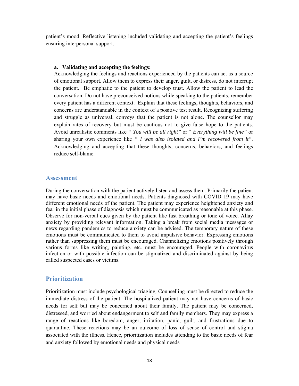patient's mood. Reflective listening included validating and accepting the patient's feelings ensuring interpersonal support.

#### **a. Validating and accepting the feelings:**

Acknowledging the feelings and reactions experienced by the patients can act as a source of emotional support. Allow them to express their anger, guilt, or distress, do not interrupt the patient. Be emphatic to the patient to develop trust. Allow the patient to lead the conversation. Do not have preconceived notions while speaking to the patients, remember every patient has a different context. Explain that these feelings, thoughts, behaviors, and concerns are understandable in the context of a positive test result. Recognizing suffering and struggle as universal, conveys that the patient is not alone. The counsellor may explain rates of recovery but must be cautious not to give false hope to the patients. Avoid unrealistic comments like *" You will be all right"* or " *Everything will be fine"* or sharing your own experience like *" I was also isolated and I'm recovered from it".* Acknowledging and accepting that these thoughts, concerns, behaviors, and feelings reduce self-blame.

#### **Assessment**

During the conversation with the patient actively listen and assess them. Primarily the patient may have basic needs and emotional needs. Patients diagnosed with COVID 19 may have different emotional needs of the patient. The patient may experience heightened anxiety and fear in the initial phase of diagnosis which must be communicated as reasonable at this phase. Observe for non-verbal cues given by the patient like fast breathing or tone of voice. Allay anxiety by providing relevant information. Taking a break from social media messages or news regarding pandemics to reduce anxiety can be advised. The temporary nature of these emotions must be communicated to them to avoid impulsive behavior. Expressing emotions rather than suppressing them must be encouraged. Channelizing emotions positively through various forms like writing, painting, etc. must be encouraged. People with coronavirus infection or with possible infection can be stigmatized and discriminated against by being called suspected cases or victims.

#### **Prioritization**

Prioritization must include psychological triaging. Counselling must be directed to reduce the immediate distress of the patient. The hospitalized patient may not have concerns of basic needs for self but may be concerned about their family. The patient may be concerned, distressed, and worried about endangerment to self and family members. They may express a range of reactions like boredom, anger, irritation, panic, guilt, and frustrations due to quarantine. These reactions may be an outcome of loss of sense of control and stigma associated with the illness. Hence, prioritization includes attending to the basic needs of fear and anxiety followed by emotional needs and physical needs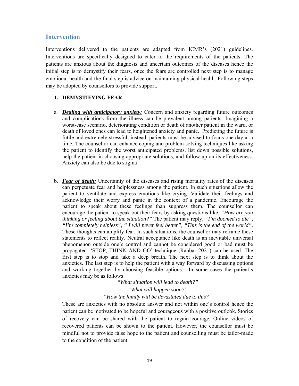#### **Intervention**

Interventions delivered to the patients are adapted from ICMR's (2021) guidelines. Interventions are specifically designed to cater to the requirements of the patients. The patients are anxious about the diagnosis and uncertain outcomes of the diseases hence the initial step is to demystify their fears, once the fears are controlled next step is to manage emotional health and the final step is advice on maintaining physical health. Following steps may be adopted by counsellors to provide support.

#### **1. DEMYSTIFYING FEAR**

- a. *Dealing with anticipatory anxiety:* Concern and anxiety regarding future outcomes and complications from the illness can be prevalent among patients. Imagining a worst-case scenario, deteriorating condition or death of another patient in the ward, or death of loved ones can lead to heightened anxiety and panic. Predicting the future is futile and extremely stressful; instead, patients must be advised to focus one day at a time. The counsellor can enhance coping and problem-solving techniques like asking the patient to identify the worst anticipated problems, list down possible solutions, help the patient in choosing appropriate solutions, and follow up on its effectiveness. Anxiety can also be due to stigma
- b. *Fear of death:* Uncertainty of the diseases and rising mortality rates of the diseases can perpetuate fear and helplessness among the patient. In such situations allow the patient to ventilate and express emotions like crying. Validate their feelings and acknowledge their worry and panic in the context of a pandemic. Encourage the patient to speak about these feelings than suppress them. The counsellor can encourage the patient to speak out their fears by asking questions like, *"How are you thinking or feeling about the situation?"* The patient may reply, *"I'm doomed to die", "I'm completely helpless", " I will never feel better", "This is the end of the world"*. These thoughts can amplify fear. In such situations, the counsellor may reframe these statements to reflect reality. Neutral acceptance like death is an inevitable universal phenomenon outside one's control and cannot be considered good or bad must be propagated. 'STOP, THINK AND GO' technique (Rahbar 2021) can be used. The first step is to stop and take a deep breath. The next step is to think about the anxieties. The last step is to help the patient with a way forward by discussing options and working together by choosing feasible options. In some cases the patient's anxieties may be as follows:

# *"What situation will lead to death?" "What will happen soon?"*

#### *"How the family will be devastated due to this?"*

These are anxieties with no absolute answer and not within one's control hence the patient can be motivated to be hopeful and courageous with a positive outlook. Stories of recovery can be shared with the patient to regain courage. Online videos of recovered patients can be shown to the patient. However, the counsellor must be mindful not to provide false hope to the patient and counselling must be tailor-made to the condition of the patient.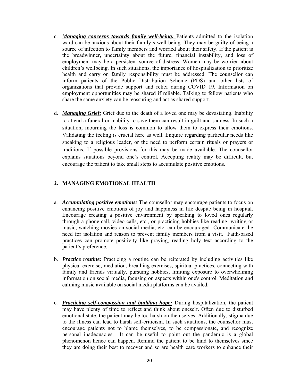- c. *Managing concerns towards family well-being:* Patients admitted to the isolation ward can be anxious about their family's well-being. They may be guilty of being a source of infection to family members and worried about their safety. If the patient is the breadwinner, uncertainty about the future, financial instability, and loss of employment may be a persistent source of distress. Women may be worried about children's wellbeing. In such situations, the importance of hospitalization to prioritize health and carry on family responsibility must be addressed. The counsellor can inform patients of the Public Distribution Scheme (PDS) and other lists of organizations that provide support and relief during COVID 19. Information on employment opportunities may be shared if reliable. Talking to fellow patients who share the same anxiety can be reassuring and act as shared support.
- d. *Managing Grief:* Grief due to the death of a loved one may be devastating. Inability to attend a funeral or inability to save them can result in guilt and sadness. In such a situation, mourning the loss is common to allow them to express their emotions. Validating the feeling is crucial here as well. Enquire regarding particular needs like speaking to a religious leader, or the need to perform certain rituals or prayers or traditions. If possible provisions for this may be made available. The counsellor explains situations beyond one's control. Accepting reality may be difficult, but encourage the patient to take small steps to accumulate positive emotions.

#### **2. MANAGING EMOTIONAL HEALTH**

- a. *Accumulating positive emotions:* The counsellor may encourage patients to focus on enhancing positive emotions of joy and happiness in life despite being in hospital. Encourage creating a positive environment by speaking to loved ones regularly through a phone call, video calls, etc., or practicing hobbies like reading, writing or music, watching movies on social media, etc. can be encouraged Communicate the need for isolation and reason to prevent family members from a visit. Faith-based practices can promote positivity like praying, reading holy text according to the patient's preference.
- b. *Practice routine:* Practicing a routine can be reiterated by including activities like physical exercise, mediation, breathing exercises, spiritual practices, connecting with family and friends virtually, pursuing hobbies, limiting exposure to overwhelming information on social media, focusing on aspects within one's control. Meditation and calming music available on social media platforms can be availed.
- c. *Practicing self-compassion and building hope:* During hospitalization, the patient may have plenty of time to reflect and think about oneself. Often due to disturbed emotional state, the patient may be too harsh on themselves. Additionally, stigma due to the illness can lead to harsh self-criticism. In such situations, the counsellor must encourage patients not to blame themselves, to be compassionate, and recognize personal inadequacies. It can be useful to point out the pandemic is a global phenomenon hence can happen. Remind the patient to be kind to themselves since they are doing their best to recover and so are health care workers to enhance their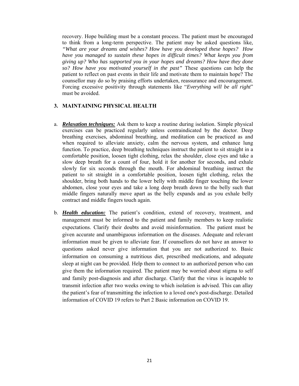recovery. Hope building must be a constant process. The patient must be encouraged to think from a long-term perspective. The patient may be asked questions like*, "What are your dreams and wishes? How have you developed these hopes? How have you managed to sustain these hopes in difficult times? What keeps you from giving up? Who has supported you in your hopes and dreams? How have they done so? How have you motivated yourself in the past"* These questions can help the patient to reflect on past events in their life and motivate them to maintain hope? The counsellor may do so by praising efforts undertaken, reassurance and encouragement. Forcing excessive positivity through statements like "*Everything will be all right*" must be avoided.

#### **3. MAINTAINING PHYSICAL HEALTH**

- a. *Relaxation techniques:* Ask them to keep a routine during isolation. Simple physical exercises can be practiced regularly unless contraindicated by the doctor. Deep breathing exercises, abdominal breathing, and meditation can be practiced as and when required to alleviate anxiety, calm the nervous system, and enhance lung function. To practice, deep breathing techniques instruct the patient to sit straight in a comfortable position, loosen tight clothing, relax the shoulder, close eyes and take a slow deep breath for a count of four, hold it for another for seconds, and exhale slowly for six seconds through the mouth. For abdominal breathing instruct the patient to sit straight in a comfortable position, loosen tight clothing, relax the shoulder, bring both hands to the lower belly with middle finger touching the lower abdomen, close your eyes and take a long deep breath down to the belly such that middle fingers naturally move apart as the belly expands and as you exhale belly contract and middle fingers touch again.
- b. *Health education:* The patient's condition, extend of recovery, treatment, and management must be informed to the patient and family members to keep realistic expectations. Clarify their doubts and avoid misinformation. The patient must be given accurate and unambiguous information on the diseases. Adequate and relevant information must be given to alleviate fear. If counsellors do not have an answer to questions asked never give information that you are not authorized to. Basic information on consuming a nutritious diet, prescribed medications, and adequate sleep at night can be provided. Help them to connect to an authorized person who can give them the information required. The patient may be worried about stigma to self and family post-diagnosis and after discharge. Clarify that the virus is incapable to transmit infection after two weeks owing to which isolation is advised. This can allay the patient's fear of transmitting the infection to a loved one's post-discharge. Detailed information of COVID 19 refers to Part 2 Basic information on COVID 19.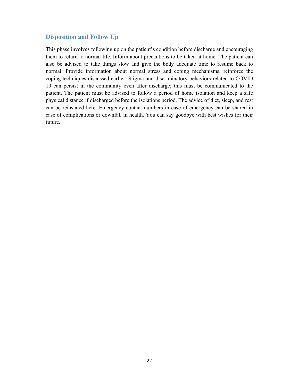#### **Disposition and Follow Up**

This phase involves following up on the patient's condition before discharge and encouraging them to return to normal life. Inform about precautions to be taken at home. The patient can also be advised to take things slow and give the body adequate time to resume back to normal. Provide information about normal stress and coping mechanisms, reinforce the coping techniques discussed earlier. Stigma and discriminatory behaviors related to COVID 19 can persist in the community even after discharge; this must be communicated to the patient. The patient must be advised to follow a period of home isolation and keep a safe physical distance if discharged before the isolations period. The advice of diet, sleep, and rest can be reinstated here. Emergency contact numbers in case of emergency can be shared in case of complications or downfall in health. You can say goodbye with best wishes for their future.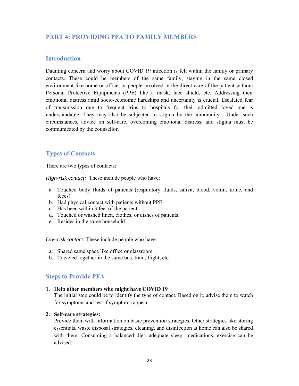# **PART 4: PROVIDING PFA TO FAMILY MEMBERS**

#### **Introduction**

Daunting concern and worry about COVID 19 infection is felt within the family or primary contacts. These could be members of the same family, staying in the same closed environment like home or office, or people involved in the direct care of the patient without Personal Protective Equipments (PPE) like a mask, face shield, etc. Addressing their emotional distress amid socio-economic hardships and uncertainty is crucial. Escalated fear of transmission due to frequent trips to hospitals for their admitted loved one is understandable. They may also be subjected to stigma by the community. Under such circumstances, advice on self-care, overcoming emotional distress, and stigma must be communicated by the counsellor.

## **Types of Contacts**

There are two types of contacts:

*High-risk contact:* These include people who have:

- a. Touched body fluids of patients (respiratory fluids, saliva, blood, vomit, urine, and feces)
- b. Had physical contact with patients without PPE
- c. Has been within 3 feet of the patient
- d. Touched or washed linen, clothes, or dishes of patients.
- e. Resides in the same household

*Low-risk contact:* These include people who have:

- a. Shared same space like office or classroom
- b. Traveled together in the same bus, train, flight, etc.

#### **Steps to Provide PFA**

#### **1. Help other members who might have COVID 19**

The initial step could be to identify the type of contact. Based on it, advise them to watch for symptoms and test if symptoms appear.

#### **2. Self-care strategies:**

Provide them with information on basic prevention strategies. Other strategies like storing essentials, waste disposal strategies, cleaning, and disinfection at home can also be shared with them. Consuming a balanced diet, adequate sleep, medications, exercise can be advised.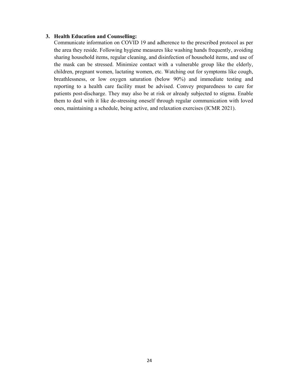#### **3. Health Education and Counselling:**

Communicate information on COVID 19 and adherence to the prescribed protocol as per the area they reside. Following hygiene measures like washing hands frequently, avoiding sharing household items, regular cleaning, and disinfection of household items, and use of the mask can be stressed. Minimize contact with a vulnerable group like the elderly, children, pregnant women, lactating women, etc. Watching out for symptoms like cough, breathlessness, or low oxygen saturation (below 90%) and immediate testing and reporting to a health care facility must be advised. Convey preparedness to care for patients post-discharge. They may also be at risk or already subjected to stigma. Enable them to deal with it like de-stressing oneself through regular communication with loved ones, maintaining a schedule, being active, and relaxation exercises (ICMR 2021).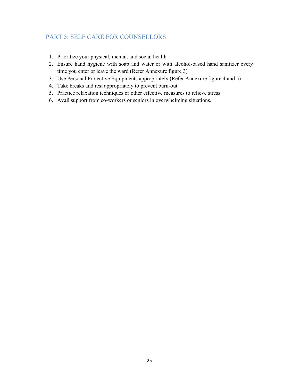# PART 5: SELF CARE FOR COUNSELLORS

- 1. Prioritize your physical, mental, and social health
- 2. Ensure hand hygiene with soap and water or with alcohol-based hand sanitizer every time you enter or leave the ward (Refer Annexure figure 3)
- 3. Use Personal Protective Equipments appropriately (Refer Annexure figure 4 and 5)
- 4. Take breaks and rest appropriately to prevent burn-out
- 5. Practice relaxation techniques or other effective measures to relieve stress
- 6. Avail support from co-workers or seniors in overwhelming situations.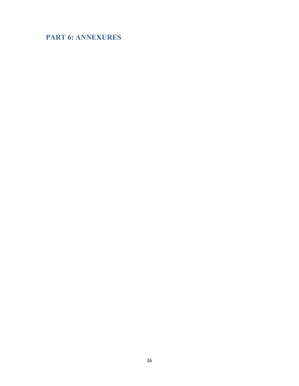# **PART 6: ANNEXURES**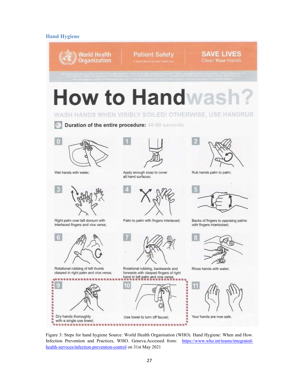#### **Hand Hygiene**



Figure 3: Steps for hand hygiene Source: World Health Organisation (WHO). Hand Hygiene: When and How. Infection Prevention and Practices, WHO. Geneva.Accessed from: https://www.who.int/teams/integratedhealth-services/infection-prevention-control on 31st May 2021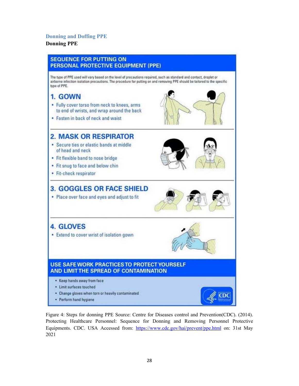#### **Donning and Doffing PPE**

#### **Donning PPE**



Figure 4: Steps for donning PPE Source: Centre for Diseases control and Prevention(CDC). (2014). Protecting Healthcare Personnel: Sequence for Donning and Removing Personnel Protective Equipments. CDC. USA Accessed from: https://www.cdc.gov/hai/prevent/ppe.html on: 31st May 2021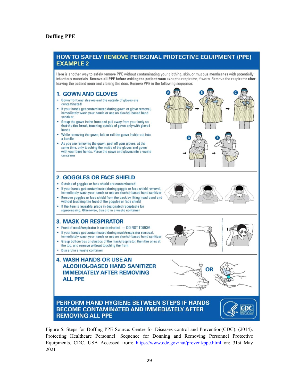#### **Doffing PPE**

#### **HOW TO SAFELY REMOVE PERSONAL PROTECTIVE EQUIPMENT (PPE) EXAMPLE 2**

Here is another way to safely remove PPE without contaminating your clothing, skin, or mucous membranes with potentially infectious materials. Remove all PPE before exiting the patient room except a respirator, if worn. Remove the respirator after leaving the patient room and closing the door. Remove PPE in the following sequence:

#### **1. GOWN AND GLOVES**

- Gown front and sleeves and the outside of gloves are contaminated!
- If your hands get contaminated during gown or glove removal, immediately wash your hands or use an alcohol-based hand sanitizer
- Grasp the gown in the front and pull away from your body so that the ties break, touching outside of gown only with gloved hands
- While removing the gown, fold or roll the gown inside-out into a bundle
- As you are removing the gown, peel off your gloves at the same time, only touching the inside of the gloves and gown with your bare hands. Place the gown and gloves into a waste container

#### **2. GOGGLES OR FACE SHIELD**

- . Outside of goggles or face shield are contaminated!
- If your hands get contaminated during goggle or face shield removal, immediately wash your hands or use an alcohol-based hand sanitizer
- Remove goggles or face shield from the back by lifting head band and without touching the front of the goggles or face shield
- If the item is reusable, place in designated receptacle for reprocessing. Otherwise, discard in a waste container

#### **3. MASK OR RESPIRATOR**

- Front of mask/respirator is contaminated DO NOT TOUCH!
- · If your hands get contaminated during mask/respirator removal, immediately wash your hands or use an alcohol-based hand sanitizer
- Grasp bottom ties or elastics of the mask/respirator, then the ones at the top, and remove without touching the front
- · Discard in a waste container

#### **4. WASH HANDS OR USE AN ALCOHOL-BASED HAND SANITIZER IMMEDIATELY AFTER REMOVING ALL PPE**





DC

#### PERFORM HAND HYGIENE BETWEEN STEPS IF HANDS **BECOME CONTAMINATED AND IMMEDIATELY AFTER REMOVING ALL PPE**

Figure 5: Steps for Doffing PPE Source: Centre for Diseases control and Prevention(CDC). (2014). Protecting Healthcare Personnel: Sequence for Donning and Removing Personnel Protective Equipments. CDC. USA Accessed from: https://www.cdc.gov/hai/prevent/ppe.html on: 31st May 2021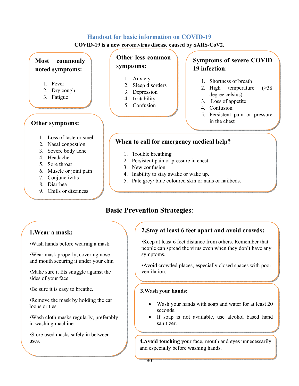## **Handout for basic information on COVID-19**

**COVID-19 is a new coronavirus disease caused by SARS-CoV2.** 

# **Most commonly noted symptoms:**

- 1. Fever
- 2. Dry cough
- 3. Fatigue

# **Other symptoms:**

- 1. Loss of taste or smell
- 2. Nasal congestion
- 3. Severe body ache
- 4. Headache
- 5. Sore throat
- 6. Muscle or joint pain
- 7. Conjunctivitis
- 8. Diarrhea
- 9. Chills or dizziness

# **Other less common symptoms:**

- 1. Anxiety
- 2. Sleep disorders
- 3. Depression
- 4. Irritability
- 5. Confusion

# **Symptoms of severe COVID 19 infection**:

- 1. Shortness of breath
- 2. High temperature (>38 degree celsius)
- 3. Loss of appetite
- 4. Confusion
- 5. Persistent pain or pressure in the chest

# **When to call for emergency medical help?**

- 1. Trouble breathing
- 2. Persistent pain or pressure in chest
- 3. New confusion
- 4. Inability to stay awake or wake up.
- 5. Pale grey/ blue coloured skin or nails or nailbeds.

# **Basic Prevention Strategies**:

# **1.Wear a mask:**

•Wash hands before wearing a mask

 •Wear mask properly, covering nose and mouth securing it under your chin

•Make sure it fits snuggle against the sides of your face

•Be sure it is easy to breathe.

•Remove the mask by holding the ear loops or ties.

•Wash cloth masks regularly, preferably in washing machine.

•Store used masks safely in between uses.

# **2.Stay at least 6 feet apart and avoid crowds:**

•Keep at least 6 feet distance from others. Remember that people can spread the virus even when they don't have any symptoms.

•Avoid crowded places, especially closed spaces with poor ventilation.

#### **3.Wash your hands:**

- Wash your hands with soap and water for at least 20 seconds.
- If soap is not available, use alcohol based hand sanitizer.

**4. Avoid touching** your face, mouth and eyes unnecessarily and especially before washing hands.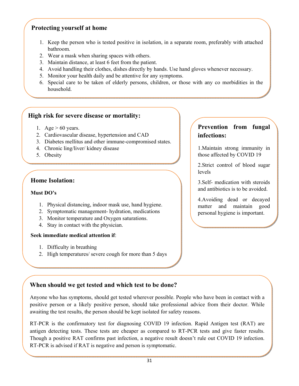# **Protecting yourself at home**

- 1. Keep the person who is tested positive in isolation, in a separate room, preferably with attached bathroom.
- 2. Wear a mask when sharing spaces with others.
- 3. Maintain distance, at least 6 feet from the patient.
- 4. Avoid handling their clothes, dishes directly by hands. Use hand gloves whenever necessary.
- 5. Monitor your health daily and be attentive for any symptoms.
- 6. Special care to be taken of elderly persons, children, or those with any co morbidities in the household.

# **High risk for severe disease or mortality:**

- 1. Age  $> 60$  years.
- 2. Cardiovascular disease, hypertension and CAD
- 3. Diabetes mellitus and other immune-compromised states.
- 4. Chronic ling/liver/ kidney disease
- 5. Obesity

# **Home Isolation:**

#### **Must DO's**

- 1. Physical distancing, indoor mask use, hand hygiene.
- 2. Symptomatic management- hydration, medications
- 3. Monitor temperature and Oxygen saturations.
- 4. Stay in contact with the physician.

#### **Seek immediate medical attention if**:

- 1. Difficulty in breathing
- 2. High temperatures/ severe cough for more than 5 days

# **Prevention from fungal infections:**

1.Maintain strong immunity in those affected by COVID 19

2.Strict control of blood sugar levels

3.Self- medication with steroids and antibiotics is to be avoided.

4.Avoiding dead or decayed matter and maintain good personal hygiene is important.

# **When should we get tested and which test to be done?**

Anyone who has symptoms, should get tested wherever possible. People who have been in contact with a positive person or a likely positive person, should take professional advice from their doctor. While awaiting the test results, the person should be kept isolated for safety reasons.

RT-PCR is the confirmatory test for diagnosing COVID 19 infection. Rapid Antigen test (RAT) are antigen detecting tests. These tests are cheaper as compared to RT-PCR tests and give faster results. Though a positive RAT confirms past infection, a negative result doesn't rule out COVID 19 infection. RT-PCR is advised if RAT is negative and person is symptomatic.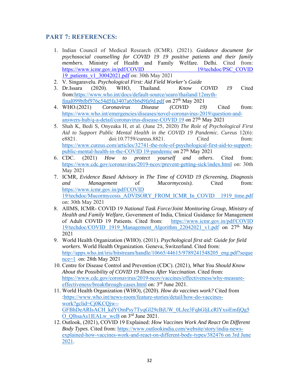# **PART 7: REFERENCES:**

- 1. Indian Council of Medical Research (ICMR). (2021). *Guidance document for psychosocial counselling for COVID 19 19 positive patients and their family members*. Ministry of Health and Family Welfare. Delhi. Cited from: https://www.icmr.gov.in/pdf/COVID 19/techdoc/PSC\_COVID 19\_patients\_v1\_30042021.pdf on: 30th May 2021
- 2. V. Singaravelu. *Psychological First: Aid Field Worker's Guide*
- 3. Dr.Issara (2020). WHO, Thailand. *Know COVID 19* Cited from:https://www.who.int/docs/default-source/searo/thailand/12mythfinal099bfbf976c54d5fa3407a65b6d9fa9d.pdf on 27th May 2021
- 4. WHO.(2021) *Coronavirus Disease (COVID 19)* Cited from: https://www.who.int/emergencies/diseases/novel-coronavirus-2019/question-andanswers-hub/q-a-detail/coronavirus-disease-COVID 19 on 27th May 2021
- 5. Shah K, Bedi S, Onyeaka H, et al. (June 25, 2020) *The Role of Psychological First Aid to Support Public Mental Health in the COVID 19 Pandemic. Cureus* 12(6): e8821. doi:10.7759/cureus.8821. Cited from: https://www.cureus.com/articles/32741-the-role-of-psychological-first-aid-to-supportpublic-mental-health-in-the-COVID 19-pandemic on 27<sup>th</sup> May 2021
- 6. CDC. (2021) *How to protect yourself and others*. Cited from: https://www.cdc.gov/coronavirus/2019-ncov/prevent-getting-sick/index.html on: 30th May 2021
- 7. ICMR, *Evidence Based Advisory in The Time of COVID 19 (Screening, Diagnosis and Management* of *Mucormycosis).* Cited from: https://www.icmr.gov.in/pdf/COVID 19/techdoc/Mucormycosis\_ADVISORY\_FROM\_ICMR\_In\_COVID 1919\_time.pdf on: 30th May 2021
- 8. AIIMS, ICMR- COVID 19 *National Task Force/Joint Monitoring Group, Ministry of Health and Family Welfare,* Government of India, Clinical Guidance for Management of Adult COVID 19 Patients. Cited from: https://www.icmr.gov.in/pdf/COVID 19/techdoc/COVID 1919 Management Algorithm 22042021 v1.pdf on 27<sup>th</sup> May 2021
- 9. World Health Organization (WHO). (2011). *Psychological first aid: Guide for field workers*. World Health Organization. Geneva, Switzerland. Cited from: http://apps.who.int/iris/bitstream/handle/10665/44615/9789241548205\_eng.pdf?seque nce=1 on: 28th May 2021
- 10. Centre for Disease Control and Prevention (CDC). (2021), *What You Should Know About the Possibility of COVID 19 Illness After Vaccination*. Cited from: https://www.cdc.gov/coronavirus/2019-ncov/vaccines/effectiveness/why-measureeffectiveness/breakthrough-cases.html on: 3rd June 2021.
- 11. World Health Organization (WHO), (2020). *How do vaccines work?* Cited from :https://www.who.int/news-room/feature-stories/detail/how-do-vaccineswork?gclid=Cj0KCQjw-- GFBhDeARIsACH\_kdYOmPsy7TyqGl29cBjUW\_0LJee3FqhGljLcRlYxsiEmfjQg5 O\_QlhsaAs1lEALw\_wcB on 3rd June 2021.
- 12. Outlook, (2021), COVID 19 Explained: *How Vaccines Work And React On Different Body Types.* Cited from: https://www.outlookindia.com/website/story/india-newsexplained-how-vaccines-work-and-react-on-different-body-types/382476 on 3rd June 2021.